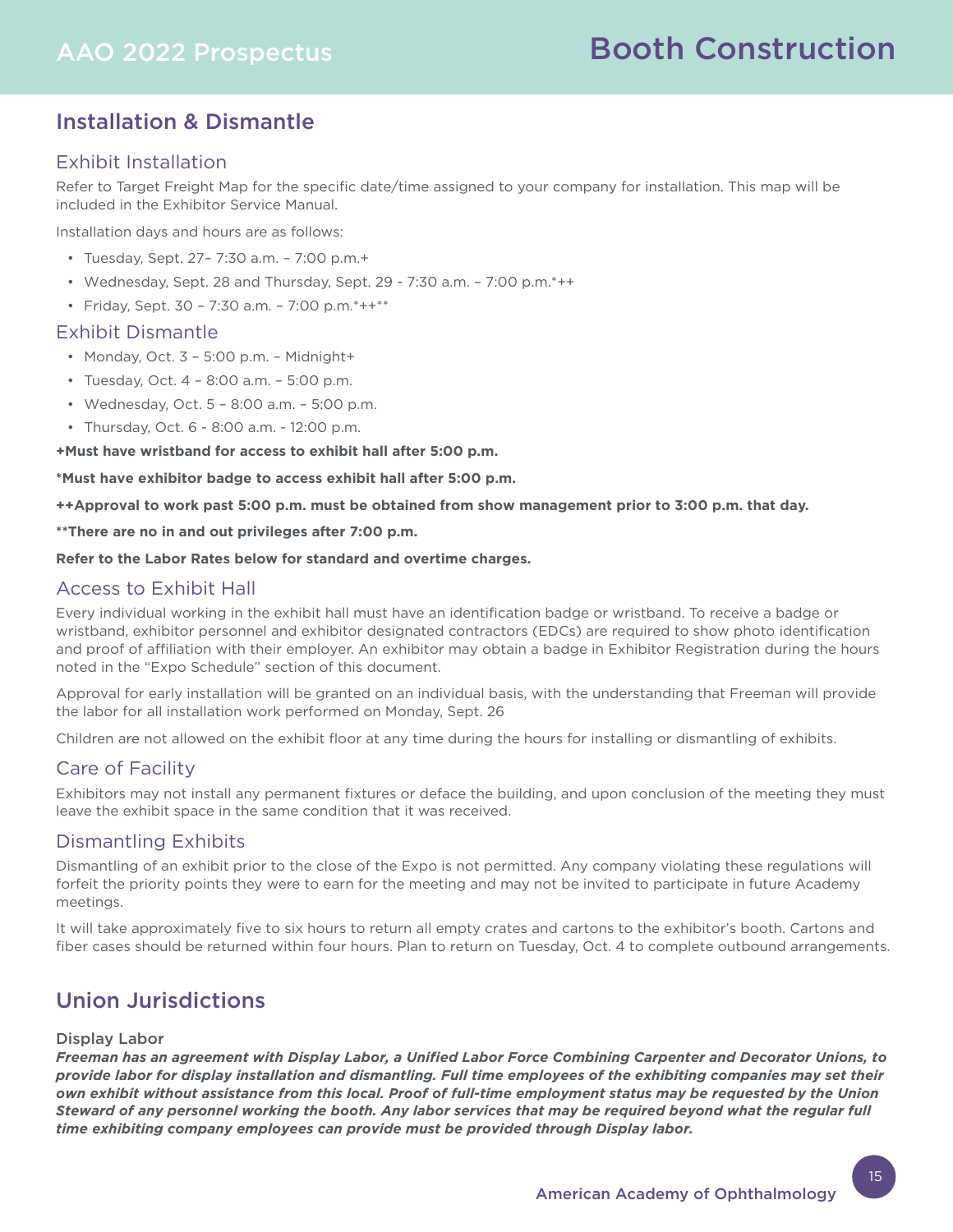# Installation & Dismantle

## Exhibit Installation

Refer to Target Freight Map for the specific date/time assigned to your company for installation. This map will be included in the Exhibitor Service Manual.

Installation days and hours are as follows:

- Tuesday, Sept. 27– 7:30 a.m. 7:00 p.m.+
- Wednesday, Sept. 28 and Thursday, Sept. 29 7:30 a.m. 7:00 p.m.\*++
- Friday, Sept. 30 7:30 a.m. 7:00 p.m. $*++**$

### Exhibit Dismantle

- Monday, Oct. 3 5:00 p.m. Midnight+
- Tuesday, Oct. 4 8:00 a.m. 5:00 p.m.
- Wednesday, Oct. 5 8:00 a.m. 5:00 p.m.
- Thursday, Oct. 6 8:00 a.m. 12:00 p.m.

**+Must have wristband for access to exhibit hall after 5:00 p.m.**

**\*Must have exhibitor badge to access exhibit hall after 5:00 p.m.**

**++Approval to work past 5:00 p.m. must be obtained from show management prior to 3:00 p.m. that day.**

**\*\*There are no in and out privileges after 7:00 p.m.**

**Refer to the Labor Rates below for standard and overtime charges.**

### Access to Exhibit Hall

Every individual working in the exhibit hall must have an identification badge or wristband. To receive a badge or wristband, exhibitor personnel and exhibitor designated contractors (EDCs) are required to show photo identification and proof of affiliation with their employer. An exhibitor may obtain a badge in Exhibitor Registration during the hours noted in the "Expo Schedule" section of this document.

Approval for early installation will be granted on an individual basis, with the understanding that Freeman will provide the labor for all installation work performed on Monday, Sept. 26

Children are not allowed on the exhibit floor at any time during the hours for installing or dismantling of exhibits.

### Care of Facility

Exhibitors may not install any permanent fixtures or deface the building, and upon conclusion of the meeting they must leave the exhibit space in the same condition that it was received.

### Dismantling Exhibits

Dismantling of an exhibit prior to the close of the Expo is not permitted. Any company violating these regulations will forfeit the priority points they were to earn for the meeting and may not be invited to participate in future Academy meetings.

It will take approximately five to six hours to return all empty crates and cartons to the exhibitor's booth. Cartons and fiber cases should be returned within four hours. Plan to return on Tuesday, Oct. 4 to complete outbound arrangements.

# Union Jurisdictions

### Display Labor

*Freeman has an agreement with Display Labor, a Unified Labor Force Combining Carpenter and Decorator Unions, to provide labor for display installation and dismantling. Full time employees of the exhibiting companies may set their own exhibit without assistance from this local. Proof of full-time employment status may be requested by the Union Steward of any personnel working the booth. Any labor services that may be required beyond what the regular full time exhibiting company employees can provide must be provided through Display labor.*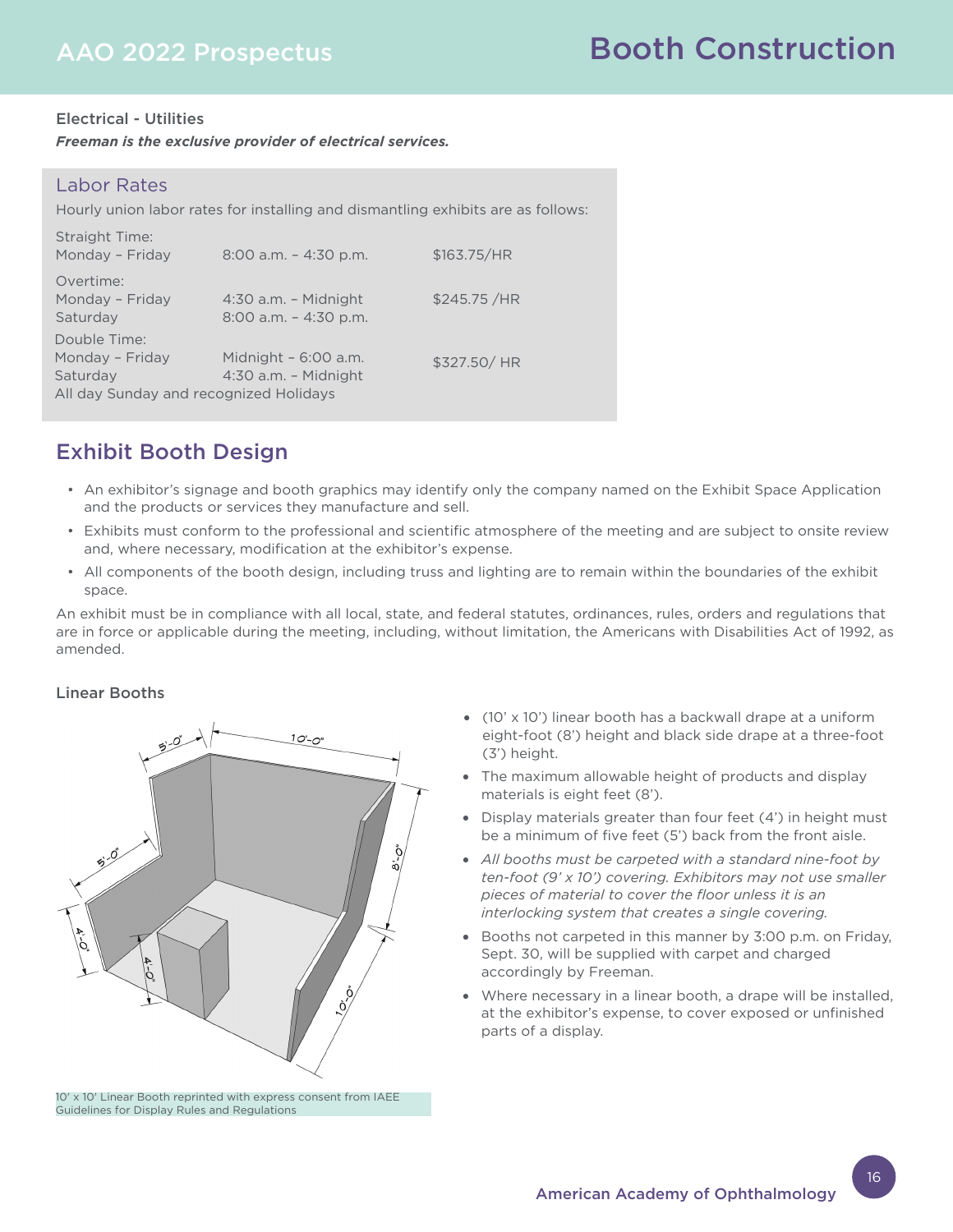### Electrical - Utilities

*Freeman is the exclusive provider of electrical services.* 

### Labor Rates

Hourly union labor rates for installing and dismantling exhibits are as follows:

| <b>Straight Time:</b><br>Monday - Friday                                              | $8:00$ a.m. $-4:30$ p.m.                           | \$163.75/HR |
|---------------------------------------------------------------------------------------|----------------------------------------------------|-------------|
| Overtime:<br>Monday - Friday<br>Saturday                                              | $4:30$ a.m. - Midnight<br>$8:00$ a.m. $-4:30$ p.m. | \$245.75/HR |
| Double Time:<br>Monday - Friday<br>Saturday<br>All day Sunday and recognized Holidays | Midnight - 6:00 a.m.<br>$4:30$ a.m. - Midnight     | \$327.50/HR |

# Exhibit Booth Design

- An exhibitor's signage and booth graphics may identify only the company named on the Exhibit Space Application and the products or services they manufacture and sell.
- Exhibits must conform to the professional and scientific atmosphere of the meeting and are subject to onsite review and, where necessary, modification at the exhibitor's expense.
- All components of the booth design, including truss and lighting are to remain within the boundaries of the exhibit space.

An exhibit must be in compliance with all local, state, and federal statutes, ordinances, rules, orders and regulations that are in force or applicable during the meeting, including, without limitation, the Americans with Disabilities Act of 1992, as amended.

### Linear Booths



10' x 10' Linear Booth reprinted with express consent from IAEE Guidelines for Display Rules and Regulations

- (10' x 10') linear booth has a backwall drape at a uniform eight-foot (8') height and black side drape at a three-foot (3') height.
- The maximum allowable height of products and display materials is eight feet (8').
- Display materials greater than four feet (4') in height must be a minimum of five feet (5') back from the front aisle.
- *All booths must be carpeted with a standard nine-foot by ten-foot (9' x 10') covering. Exhibitors may not use smaller pieces of material to cover the floor unless it is an interlocking system that creates a single covering.*
- Booths not carpeted in this manner by 3:00 p.m. on Friday, Sept. 30, will be supplied with carpet and charged accordingly by Freeman.
- Where necessary in a linear booth, a drape will be installed, at the exhibitor's expense, to cover exposed or unfinished parts of a display.

16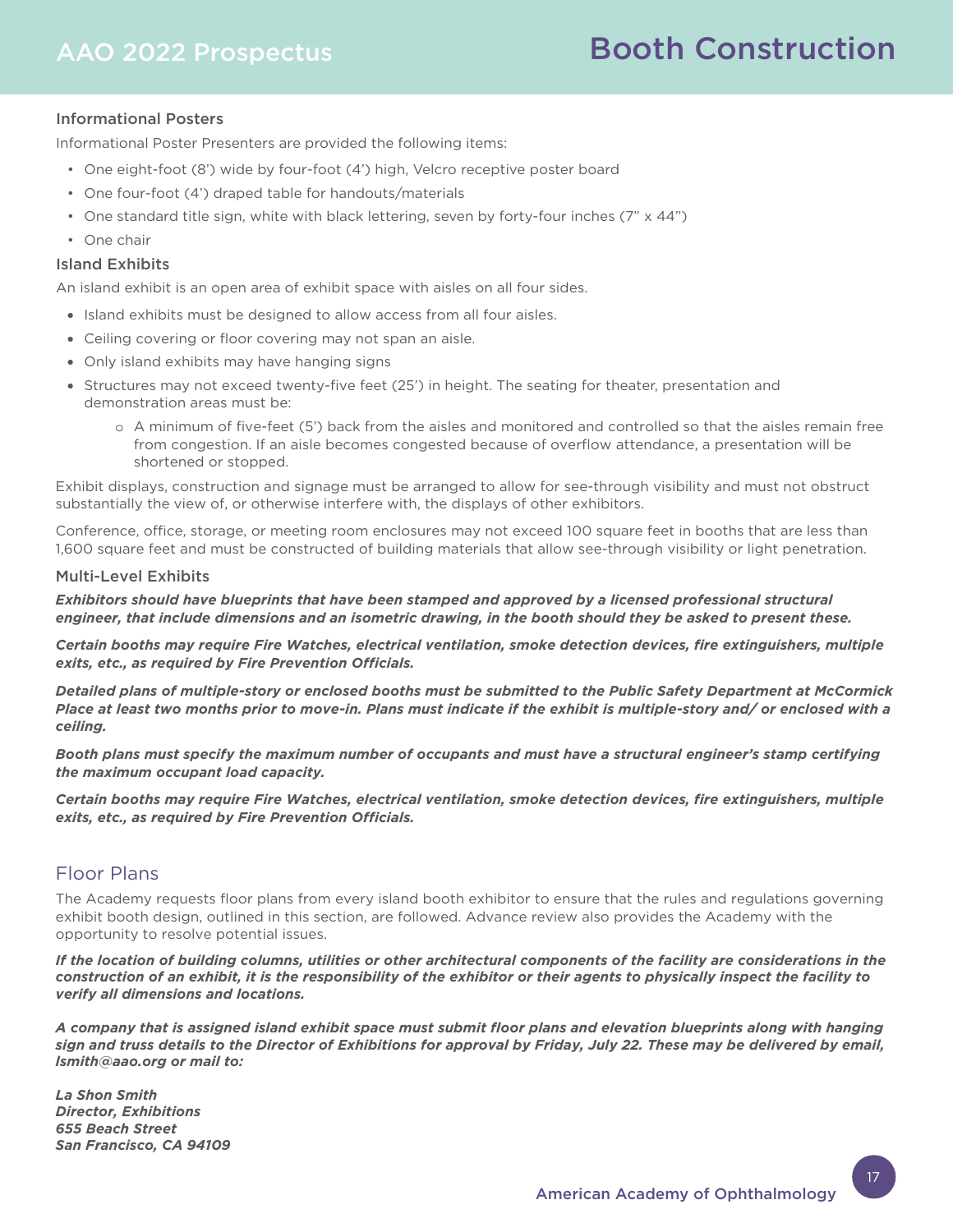# Booth Construction

### Informational Posters

Informational Poster Presenters are provided the following items:

- One eight-foot (8') wide by four-foot (4') high, Velcro receptive poster board
- One four-foot (4') draped table for handouts/materials
- One standard title sign, white with black lettering, seven by forty-four inches (7" x 44")
- One chair

### Island Exhibits

An island exhibit is an open area of exhibit space with aisles on all four sides.

- Island exhibits must be designed to allow access from all four aisles.
- Ceiling covering or floor covering may not span an aisle.
- Only island exhibits may have hanging signs
- Structures may not exceed twenty-five feet (25') in height. The seating for theater, presentation and demonstration areas must be:
	- o A minimum of five-feet (5') back from the aisles and monitored and controlled so that the aisles remain free from congestion. If an aisle becomes congested because of overflow attendance, a presentation will be shortened or stopped.

Exhibit displays, construction and signage must be arranged to allow for see-through visibility and must not obstruct substantially the view of, or otherwise interfere with, the displays of other exhibitors.

Conference, office, storage, or meeting room enclosures may not exceed 100 square feet in booths that are less than 1,600 square feet and must be constructed of building materials that allow see-through visibility or light penetration.

#### Multi-Level Exhibits

*Exhibitors should have blueprints that have been stamped and approved by a licensed professional structural engineer, that include dimensions and an isometric drawing, in the booth should they be asked to present these.*

*Certain booths may require Fire Watches, electrical ventilation, smoke detection devices, fire extinguishers, multiple exits, etc., as required by Fire Prevention Officials.*

*Detailed plans of multiple-story or enclosed booths must be submitted to the Public Safety Department at McCormick Place at least two months prior to move-in. Plans must indicate if the exhibit is multiple-story and/ or enclosed with a ceiling.*

*Booth plans must specify the maximum number of occupants and must have a structural engineer's stamp certifying the maximum occupant load capacity.*

*Certain booths may require Fire Watches, electrical ventilation, smoke detection devices, fire extinguishers, multiple exits, etc., as required by Fire Prevention Officials.*

### Floor Plans

The Academy requests floor plans from every island booth exhibitor to ensure that the rules and regulations governing exhibit booth design, outlined in this section, are followed. Advance review also provides the Academy with the opportunity to resolve potential issues.

*If the location of building columns, utilities or other architectural components of the facility are considerations in the construction of an exhibit, it is the responsibility of the exhibitor or their agents to physically inspect the facility to verify all dimensions and locations.*

*A company that is assigned island exhibit space must submit floor plans and elevation blueprints along with hanging sign and truss details to the Director of Exhibitions for approval by Friday, July 22. These may be delivered by email, lsmith@aao.org or mail to:* 

*La Shon Smith Director, Exhibitions 655 Beach Street San Francisco, CA 94109*

17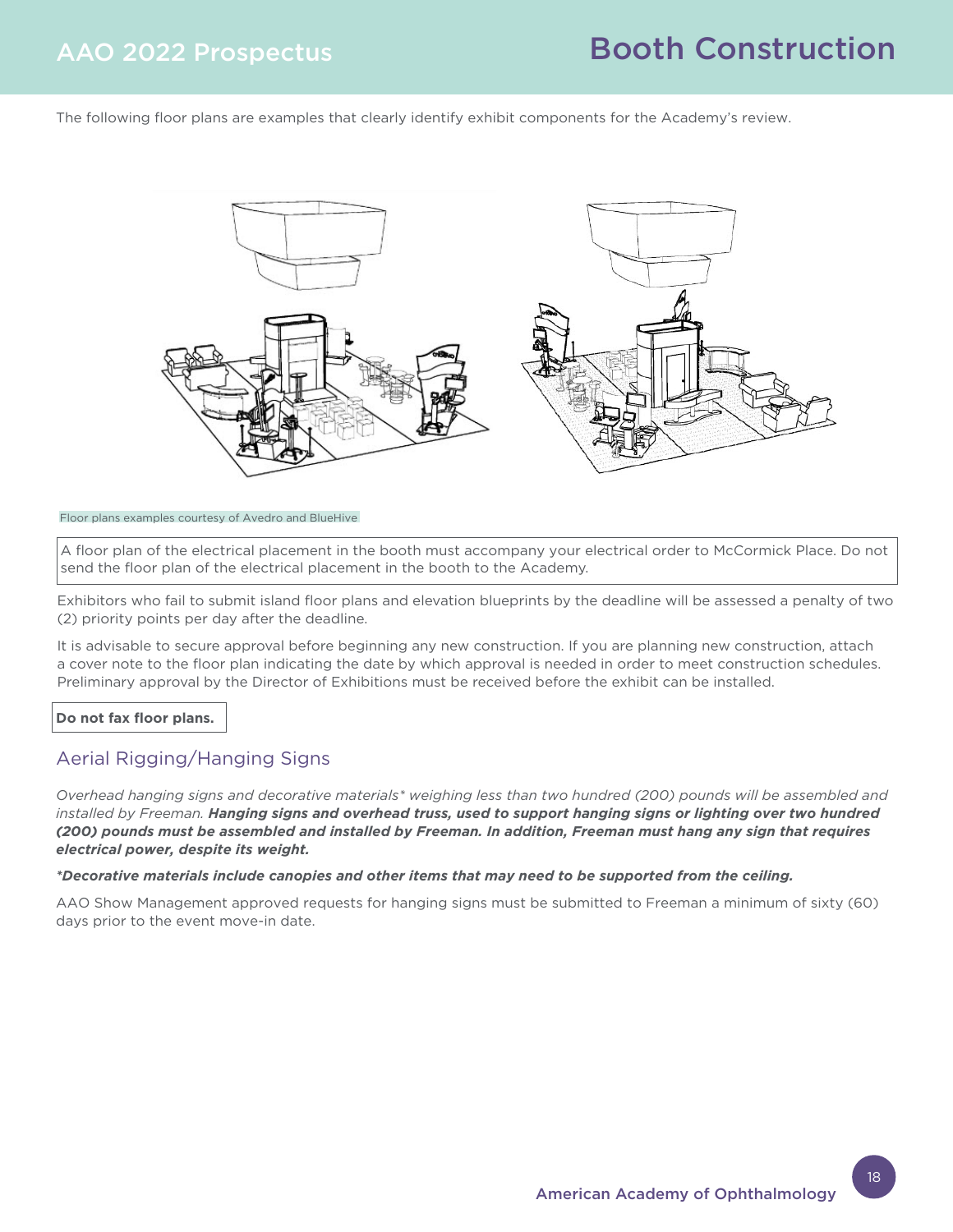The following floor plans are examples that clearly identify exhibit components for the Academy's review.



Floor plans examples courtesy of Avedro and BlueHive

A floor plan of the electrical placement in the booth must accompany your electrical order to McCormick Place. Do not send the floor plan of the electrical placement in the booth to the Academy.

Exhibitors who fail to submit island floor plans and elevation blueprints by the deadline will be assessed a penalty of two (2) priority points per day after the deadline.

It is advisable to secure approval before beginning any new construction. If you are planning new construction, attach a cover note to the floor plan indicating the date by which approval is needed in order to meet construction schedules. Preliminary approval by the Director of Exhibitions must be received before the exhibit can be installed.

**Do not fax floor plans.**

# Aerial Rigging/Hanging Signs

*Overhead hanging signs and decorative materials\* weighing less than two hundred (200) pounds will be assembled and installed by Freeman. Hanging signs and overhead truss, used to support hanging signs or lighting over two hundred (200) pounds must be assembled and installed by Freeman. In addition, Freeman must hang any sign that requires electrical power, despite its weight.*

### *\*Decorative materials include canopies and other items that may need to be supported from the ceiling.*

AAO Show Management approved requests for hanging signs must be submitted to Freeman a minimum of sixty (60) days prior to the event move-in date.

18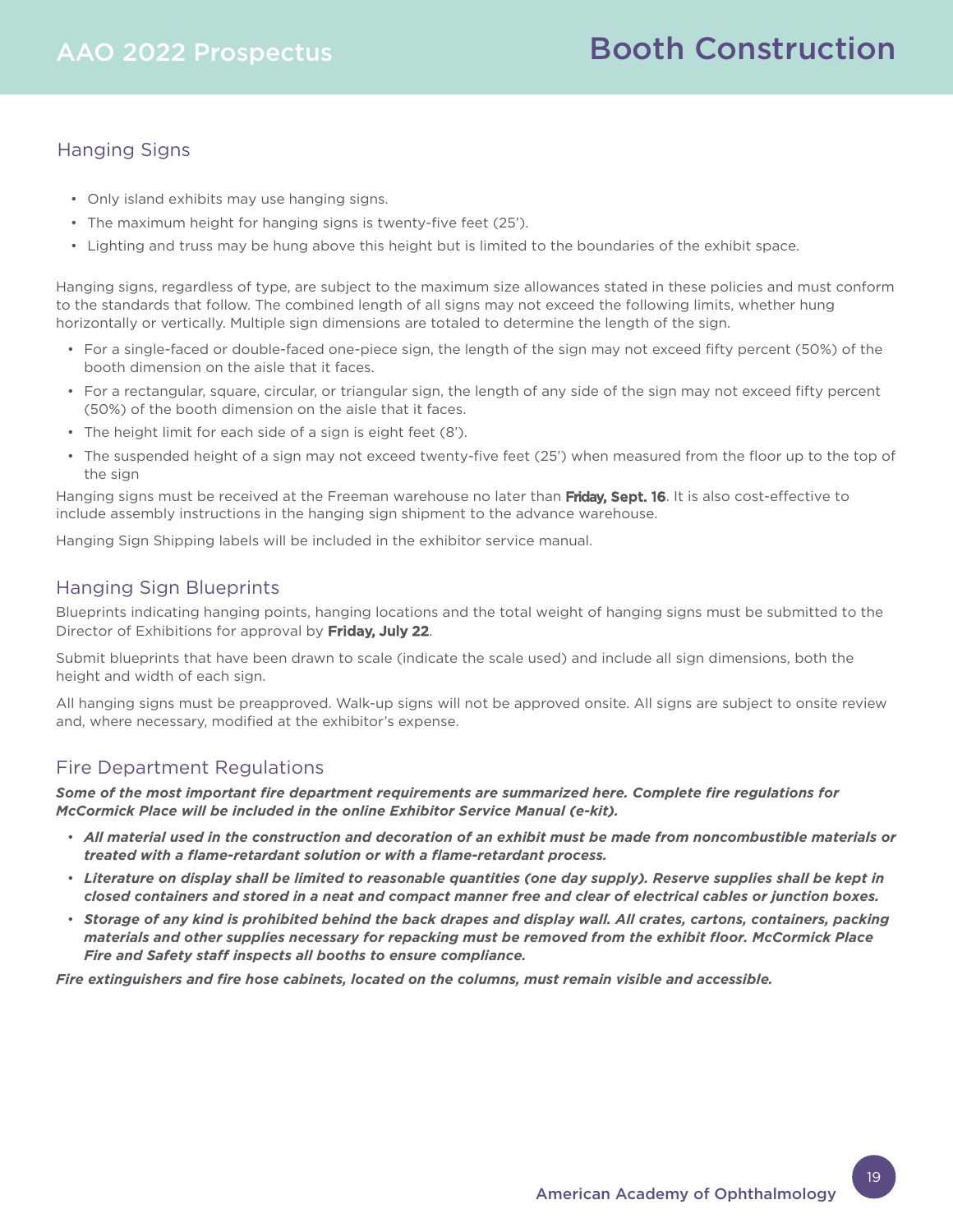# Hanging Signs

- Only island exhibits may use hanging signs.
- The maximum height for hanging signs is twenty-five feet (25').
- Lighting and truss may be hung above this height but is limited to the boundaries of the exhibit space.

Hanging signs, regardless of type, are subject to the maximum size allowances stated in these policies and must conform to the standards that follow. The combined length of all signs may not exceed the following limits, whether hung horizontally or vertically. Multiple sign dimensions are totaled to determine the length of the sign.

- For a single-faced or double-faced one-piece sign, the length of the sign may not exceed fifty percent (50%) of the booth dimension on the aisle that it faces.
- For a rectangular, square, circular, or triangular sign, the length of any side of the sign may not exceed fifty percent (50%) of the booth dimension on the aisle that it faces.
- The height limit for each side of a sign is eight feet (8').
- The suspended height of a sign may not exceed twenty-five feet (25') when measured from the floor up to the top of the sign

Hanging signs must be received at the Freeman warehouse no later than Friday, Sept. 16. It is also cost-effective to include assembly instructions in the hanging sign shipment to the advance warehouse.

Hanging Sign Shipping labels will be included in the exhibitor service manual.

# Hanging Sign Blueprints

Blueprints indicating hanging points, hanging locations and the total weight of hanging signs must be submitted to the Director of Exhibitions for approval by Friday, July 22.

Submit blueprints that have been drawn to scale (indicate the scale used) and include all sign dimensions, both the height and width of each sign.

All hanging signs must be preapproved. Walk-up signs will not be approved onsite. All signs are subject to onsite review and, where necessary, modified at the exhibitor's expense.

# Fire Department Regulations

*Some of the most important fire department requirements are summarized here. Complete fire regulations for McCormick Place will be included in the online Exhibitor Service Manual (e-kit).*

- *All material used in the construction and decoration of an exhibit must be made from noncombustible materials or treated with a flame-retardant solution or with a flame-retardant process.*
- *Literature on display shall be limited to reasonable quantities (one day supply). Reserve supplies shall be kept in closed containers and stored in a neat and compact manner free and clear of electrical cables or junction boxes.*
- *Storage of any kind is prohibited behind the back drapes and display wall. All crates, cartons, containers, packing materials and other supplies necessary for repacking must be removed from the exhibit floor. McCormick Place Fire and Safety staff inspects all booths to ensure compliance.*

*Fire extinguishers and fire hose cabinets, located on the columns, must remain visible and accessible.*